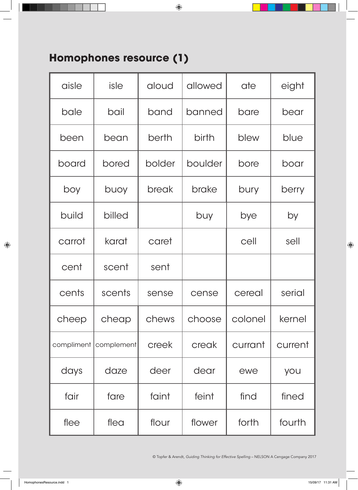## **Homophones resource (1)**

| aisle      | isle       | aloud  | allowed | ate     | eight   |
|------------|------------|--------|---------|---------|---------|
| bale       | bail       | band   | banned  | bare    | bear    |
| been       | bean       | berth  | birth   | blew    | blue    |
| board      | bored      | bolder | boulder | bore    | boar    |
| boy        | buoy       | break  | brake   | bury    | berry   |
| build      | billed     |        | buy     | bye     | by      |
| carrot     | karat      | caret  |         | cell    | sell    |
| cent       | scent      | sent   |         |         |         |
| cents      | scents     | sense  | cense   | cereal  | serial  |
| cheep      | cheap      | chews  | choose  | colonel | kernel  |
| compliment | complement | creek  | creak   | currant | current |
| days       | daze       | deer   | dear    | ewe     | you     |
| fair       | fare       | faint  | feint   | find    | fined   |
| flee       | flea       | flour  | flower  | forth   | fourth  |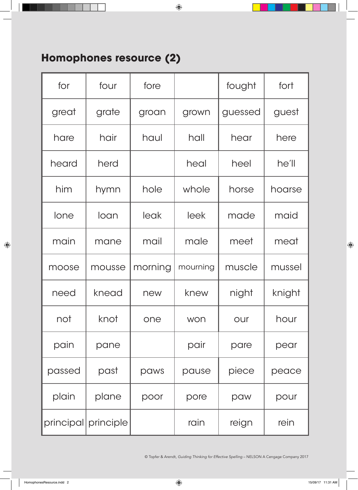## **Homophones resource (2)**

| for    | four                | fore    |          | fought  | fort   |
|--------|---------------------|---------|----------|---------|--------|
| great  | grate               | groan   | grown    | guessed | guest  |
| hare   | hair                | haul    | hall     | hear    | here   |
| heard  | herd                |         | heal     | heel    | he'll  |
| him    | hymn                | hole    | whole    | horse   | hoarse |
| lone   | loan                | leak    | leek     | made    | maid   |
| main   | mane                | mail    | male     | meet    | meat   |
| moose  | mousse              | morning | mourning | muscle  | mussel |
| need   | knead               | new     | knew     | night   | knight |
| not    | knot                | one     | won      | our     | hour   |
| pain   | pane                |         | pair     | pare    | pear   |
| passed | past                | paws    | pause    | piece   | peace  |
| plain  | plane               | poor    | pore     | paw     | pour   |
|        | principal principle |         | rain     | reign   | rein   |